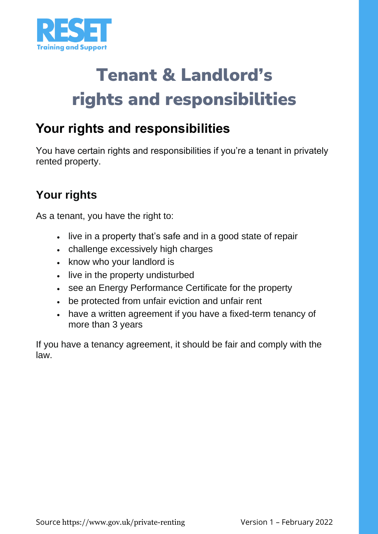

# Tenant & Landlord's rights and responsibilities

## **Your rights and responsibilities**

You have certain rights and responsibilities if you're a tenant in privately rented property.

## **Your rights**

As a tenant, you have the right to:

- live in a property that's safe and in a good state of repair
- challenge excessively high charges
- know who your landlord is
- live in the property undisturbed
- see an [Energy Performance Certificate](https://www.gov.uk/buy-sell-your-home/energy-performance-certificates) for the property
- be protected from unfair eviction and unfair rent
- have a written agreement if you have a fixed-term tenancy of more than 3 years

If you have a tenancy agreement, it should be fair and comply with the law.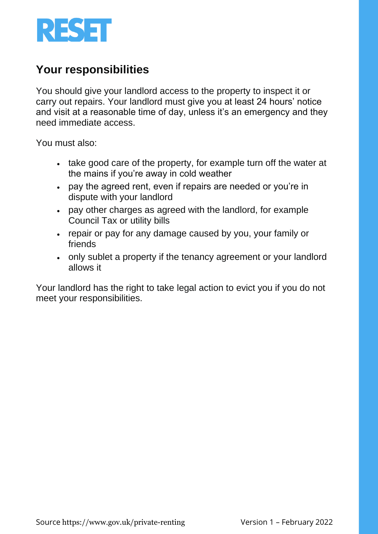

#### **Your responsibilities**

You should give your landlord access to the property to inspect it or carry out repairs. Your landlord must give you at least 24 hours' notice and visit at a reasonable time of day, unless it's an emergency and they need immediate access.

You must also:

- take good care of the property, for example turn off the water at the mains if you're away in cold weather
- pay the agreed rent, even if repairs are needed or you're in dispute with your landlord
- pay other charges as agreed with the landlord, for example Council Tax or utility bills
- repair or pay for any damage caused by you, your family or friends
- only sublet a property if the tenancy agreement or your landlord allows it

Your landlord has the right to take [legal action to evict you](https://www.gov.uk/private-renting-evictions) if you do not meet your responsibilities.